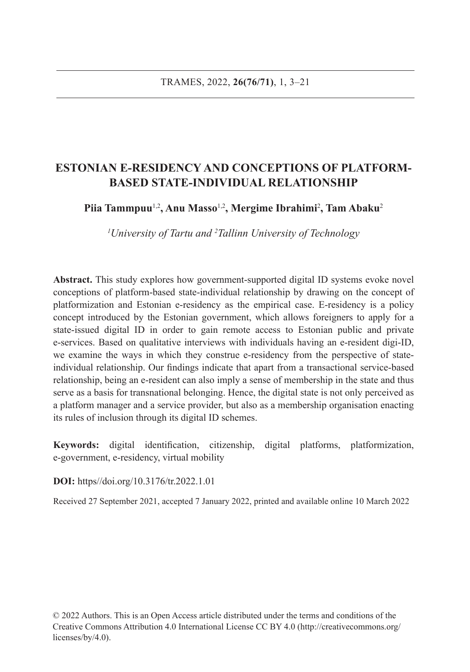# **ESTONIAN E-RESIDENCY AND CONCEPTIONS OF PLATFORM-BASED STATE-INDIVIDUAL RELATIONSHIP**

**Piia Tammpuu**1,2**, Anu Masso**1,2**, Mergime Ibrahimi**<sup>2</sup> **, Tam Abaku**<sup>2</sup>

*1 University of Tartu and 2 Tallinn University of Technology*

**Abstract.** This study explores how government-supported digital ID systems evoke novel conceptions of platform-based state-individual relationship by drawing on the concept of platformization and Estonian e-residency as the empirical case. E-residency is a policy concept introduced by the Estonian government, which allows foreigners to apply for a state-issued digital ID in order to gain remote access to Estonian public and private e-services. Based on qualitative interviews with individuals having an e-resident digi-ID, we examine the ways in which they construe e-residency from the perspective of stateindividual relationship. Our findings indicate that apart from a transactional service-based relationship, being an e-resident can also imply a sense of membership in the state and thus serve as a basis for transnational belonging. Hence, the digital state is not only perceived as a platform manager and a service provider, but also as a membership organisation enacting its rules of inclusion through its digital ID schemes.

**Keywords:** digital identification, citizenship, digital platforms, platformization, e-government, e-residency, virtual mobility

**DOI:** https//doi.org/10.3176/tr.2022.1.01

Received 27 September 2021, accepted 7 January 2022, printed and available online 10 March 2022

© 2022 Authors. This is an Open Access article distributed under the terms and conditions of the Creative Commons Attribution 4.0 International License CC BY 4.0 (http://creativecommons.org/ licenses/by/4.0).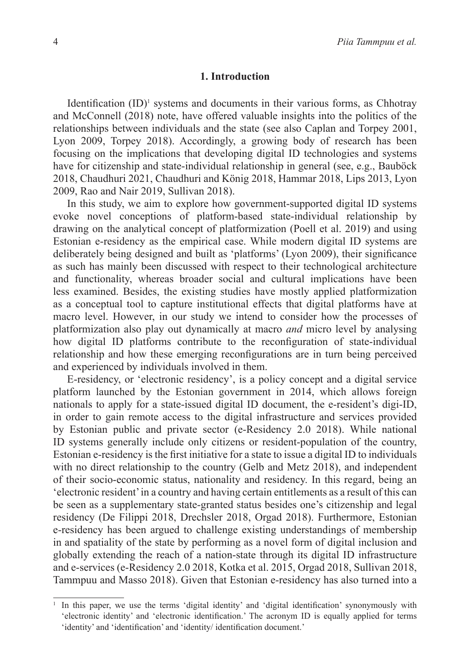## **1. Introduction**

Identification (ID)<sup>1</sup> systems and documents in their various forms, as Chhotray and McConnell (2018) note, have offered valuable insights into the politics of the relationships between individuals and the state (see also Caplan and Torpey 2001, Lyon 2009, Torpey 2018). Accordingly, a growing body of research has been focusing on the implications that developing digital ID technologies and systems have for citizenship and state-individual relationship in general (see, e.g., Bauböck 2018, Chaudhuri 2021, Chaudhuri and König 2018, Hammar 2018, Lips 2013, Lyon 2009, Rao and Nair 2019, Sullivan 2018).

In this study, we aim to explore how government-supported digital ID systems evoke novel conceptions of platform-based state-individual relationship by drawing on the analytical concept of platformization (Poell et al. 2019) and using Estonian e-residency as the empirical case. While modern digital ID systems are deliberately being designed and built as 'platforms' (Lyon 2009), their significance as such has mainly been discussed with respect to their technological architecture and functionality, whereas broader social and cultural implications have been less examined. Besides, the existing studies have mostly applied platformization as a conceptual tool to capture institutional effects that digital platforms have at macro level. However, in our study we intend to consider how the processes of platformization also play out dynamically at macro *and* micro level by analysing how digital ID platforms contribute to the reconfiguration of state-individual relationship and how these emerging reconfigurations are in turn being perceived and experienced by individuals involved in them.

E-residency, or 'electronic residency', is a policy concept and a digital service platform launched by the Estonian government in 2014, which allows foreign nationals to apply for a state-issued digital ID document, the e-resident's digi-ID, in order to gain remote access to the digital infrastructure and services provided by Estonian public and private sector (e-Residency 2.0 2018). While national ID systems generally include only citizens or resident-population of the country, Estonian e-residency is the first initiative for a state to issue a digital ID to individuals with no direct relationship to the country (Gelb and Metz 2018), and independent of their socio-economic status, nationality and residency. In this regard, being an 'electronic resident' in a country and having certain entitlements as a result of this can be seen as a supplementary state-granted status besides one's citizenship and legal residency (De Filippi 2018, Drechsler 2018, Orgad 2018). Furthermore, Estonian e-residency has been argued to challenge existing understandings of membership in and spatiality of the state by performing as a novel form of digital inclusion and globally extending the reach of a nation-state through its digital ID infrastructure and e-services (e-Residency 2.0 2018, Kotka et al. 2015, Orgad 2018, Sullivan 2018, Tammpuu and Masso 2018). Given that Estonian e-residency has also turned into a

<sup>1</sup> In this paper, we use the terms 'digital identity' and 'digital identification' synonymously with 'electronic identity' and 'electronic identification.' The acronym ID is equally applied for terms 'identity' and 'identification' and 'identity/ identification document.'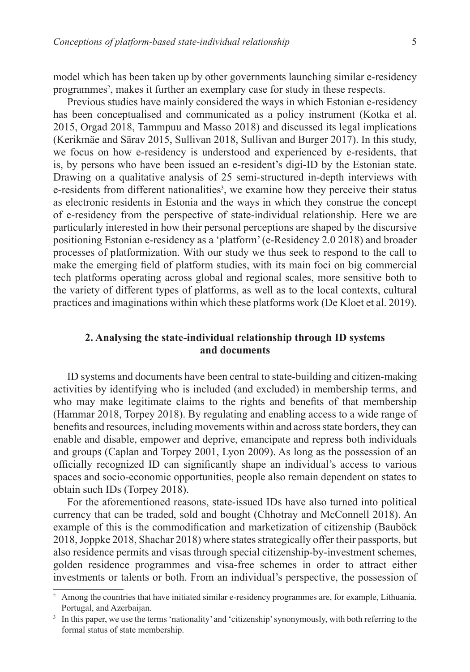model which has been taken up by other governments launching similar e-residency programmes<sup>2</sup>, makes it further an exemplary case for study in these respects.

Previous studies have mainly considered the ways in which Estonian e-residency has been conceptualised and communicated as a policy instrument (Kotka et al. 2015, Orgad 2018, Tammpuu and Masso 2018) and discussed its legal implications (Kerikmäe and Särav 2015, Sullivan 2018, Sullivan and Burger 2017). In this study, we focus on how e-residency is understood and experienced by e-residents, that is, by persons who have been issued an e-resident's digi-ID by the Estonian state. Drawing on a qualitative analysis of 25 semi-structured in-depth interviews with e-residents from different nationalities<sup>3</sup>, we examine how they perceive their status as electronic residents in Estonia and the ways in which they construe the concept of e-residency from the perspective of state-individual relationship. Here we are particularly interested in how their personal perceptions are shaped by the discursive positioning Estonian e-residency as a 'platform' (e-Residency 2.0 2018) and broader processes of platformization. With our study we thus seek to respond to the call to make the emerging field of platform studies, with its main foci on big commercial tech platforms operating across global and regional scales, more sensitive both to the variety of different types of platforms, as well as to the local contexts, cultural practices and imaginations within which these platforms work (De Kloet et al. 2019).

# **2. Analysing the state-individual relationship through ID systems and documents**

ID systems and documents have been central to state-building and citizen-making activities by identifying who is included (and excluded) in membership terms, and who may make legitimate claims to the rights and benefits of that membership (Hammar 2018, Torpey 2018). By regulating and enabling access to a wide range of benefits and resources, including movements within and across state borders, they can enable and disable, empower and deprive, emancipate and repress both individuals and groups (Caplan and Torpey 2001, Lyon 2009). As long as the possession of an officially recognized ID can significantly shape an individual's access to various spaces and socio-economic opportunities, people also remain dependent on states to obtain such IDs (Torpey 2018).

For the aforementioned reasons, state-issued IDs have also turned into political currency that can be traded, sold and bought (Chhotray and McConnell 2018). An example of this is the commodification and marketization of citizenship (Bauböck 2018, Joppke 2018, Shachar 2018) where states strategically offer their passports, but also residence permits and visas through special citizenship-by-investment schemes, golden residence programmes and visa-free schemes in order to attract either investments or talents or both. From an individual's perspective, the possession of

<sup>&</sup>lt;sup>2</sup> Among the countries that have initiated similar e-residency programmes are, for example, Lithuania, Portugal, and Azerbaijan.

<sup>&</sup>lt;sup>3</sup> In this paper, we use the terms 'nationality' and 'citizenship' synonymously, with both referring to the formal status of state membership.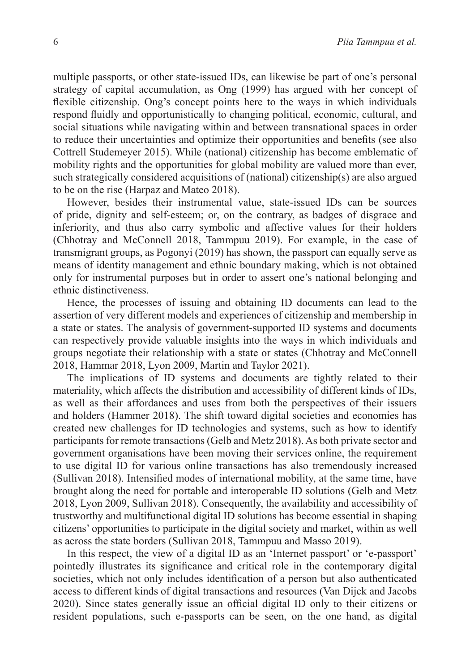multiple passports, or other state-issued IDs, can likewise be part of one's personal strategy of capital accumulation, as Ong (1999) has argued with her concept of flexible citizenship. Ong's concept points here to the ways in which individuals respond fluidly and opportunistically to changing political, economic, cultural, and social situations while navigating within and between transnational spaces in order to reduce their uncertainties and optimize their opportunities and benefits (see also Cottrell Studemeyer 2015). While (national) citizenship has become emblematic of mobility rights and the opportunities for global mobility are valued more than ever, such strategically considered acquisitions of (national) citizenship(s) are also argued to be on the rise (Harpaz and Mateo 2018).

However, besides their instrumental value, state-issued IDs can be sources of pride, dignity and self-esteem; or, on the contrary, as badges of disgrace and inferiority, and thus also carry symbolic and affective values for their holders (Chhotray and McConnell 2018, Tammpuu 2019). For example, in the case of transmigrant groups, as Pogonyi (2019) has shown, the passport can equally serve as means of identity management and ethnic boundary making, which is not obtained only for instrumental purposes but in order to assert one's national belonging and ethnic distinctiveness.

Hence, the processes of issuing and obtaining ID documents can lead to the assertion of very different models and experiences of citizenship and membership in a state or states. The analysis of government-supported ID systems and documents can respectively provide valuable insights into the ways in which individuals and groups negotiate their relationship with a state or states (Chhotray and McConnell 2018, Hammar 2018, Lyon 2009, Martin and Taylor 2021).

The implications of ID systems and documents are tightly related to their materiality, which affects the distribution and accessibility of different kinds of IDs, as well as their affordances and uses from both the perspectives of their issuers and holders (Hammer 2018). The shift toward digital societies and economies has created new challenges for ID technologies and systems, such as how to identify participants for remote transactions (Gelb and Metz 2018). As both private sector and government organisations have been moving their services online, the requirement to use digital ID for various online transactions has also tremendously increased (Sullivan 2018). Intensified modes of international mobility, at the same time, have brought along the need for portable and interoperable ID solutions (Gelb and Metz 2018, Lyon 2009, Sullivan 2018). Consequently, the availability and accessibility of trustworthy and multifunctional digital ID solutions has become essential in shaping citizens' opportunities to participate in the digital society and market, within as well as across the state borders (Sullivan 2018, Tammpuu and Masso 2019).

In this respect, the view of a digital ID as an 'Internet passport' or 'e-passport' pointedly illustrates its significance and critical role in the contemporary digital societies, which not only includes identification of a person but also authenticated access to different kinds of digital transactions and resources (Van Dijck and Jacobs 2020). Since states generally issue an official digital ID only to their citizens or resident populations, such e-passports can be seen, on the one hand, as digital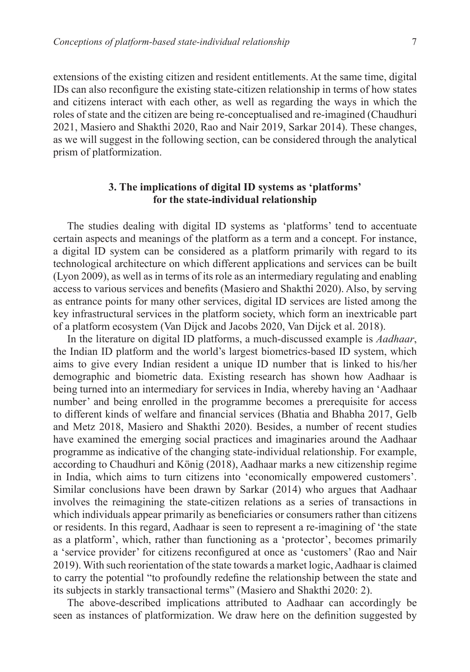extensions of the existing citizen and resident entitlements. At the same time, digital IDs can also reconfigure the existing state-citizen relationship in terms of how states and citizens interact with each other, as well as regarding the ways in which the roles of state and the citizen are being re-conceptualised and re-imagined (Chaudhuri 2021, Masiero and Shakthi 2020, Rao and Nair 2019, Sarkar 2014). These changes, as we will suggest in the following section, can be considered through the analytical prism of platformization.

# **3. The implications of digital ID systems as 'platforms' for the state-individual relationship**

The studies dealing with digital ID systems as 'platforms' tend to accentuate certain aspects and meanings of the platform as a term and a concept. For instance, a digital ID system can be considered as a platform primarily with regard to its technological architecture on which different applications and services can be built (Lyon 2009), as well as in terms of its role as an intermediary regulating and enabling access to various services and benefits (Masiero and Shakthi 2020). Also, by serving as entrance points for many other services, digital ID services are listed among the key infrastructural services in the platform society, which form an inextricable part of a platform ecosystem (Van Dijck and Jacobs 2020, Van Dijck et al. 2018).

In the literature on digital ID platforms, a much-discussed example is *Aadhaar*, the Indian ID platform and the world's largest biometrics-based ID system, which aims to give every Indian resident a unique ID number that is linked to his/her demographic and biometric data. Existing research has shown how Aadhaar is being turned into an intermediary for services in India, whereby having an 'Aadhaar number' and being enrolled in the programme becomes a prerequisite for access to different kinds of welfare and financial services (Bhatia and Bhabha 2017, Gelb and Metz 2018, Masiero and Shakthi 2020). Besides, a number of recent studies have examined the emerging social practices and imaginaries around the Aadhaar programme as indicative of the changing state-individual relationship. For example, according to Chaudhuri and König (2018), Aadhaar marks a new citizenship regime in India, which aims to turn citizens into 'economically empowered customers'. Similar conclusions have been drawn by Sarkar (2014) who argues that Aadhaar involves the reimagining the state-citizen relations as a series of transactions in which individuals appear primarily as beneficiaries or consumers rather than citizens or residents. In this regard, Aadhaar is seen to represent a re-imagining of 'the state as a platform', which, rather than functioning as a 'protector', becomes primarily a 'service provider' for citizens reconfigured at once as 'customers' (Rao and Nair 2019). With such reorientation of the state towards a market logic, Aadhaar is claimed to carry the potential "to profoundly redefine the relationship between the state and its subjects in starkly transactional terms" (Masiero and Shakthi 2020: 2).

The above-described implications attributed to Aadhaar can accordingly be seen as instances of platformization. We draw here on the definition suggested by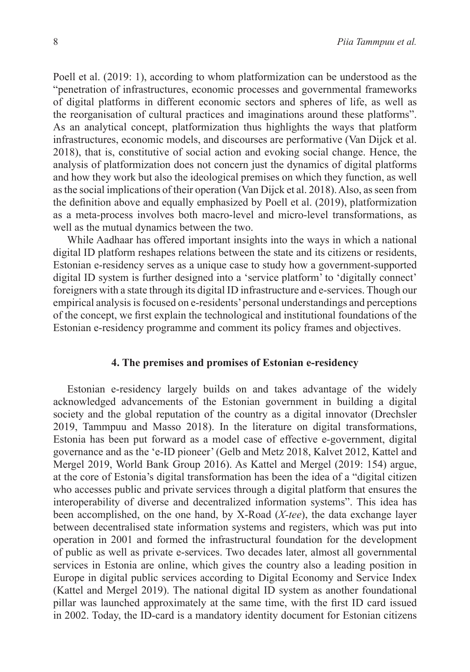Poell et al. (2019: 1), according to whom platformization can be understood as the "penetration of infrastructures, economic processes and governmental frameworks of digital platforms in different economic sectors and spheres of life, as well as the reorganisation of cultural practices and imaginations around these platforms". As an analytical concept, platformization thus highlights the ways that platform infrastructures, economic models, and discourses are performative (Van Dijck et al. 2018), that is, constitutive of social action and evoking social change. Hence, the analysis of platformization does not concern just the dynamics of digital platforms and how they work but also the ideological premises on which they function, as well as the social implications of their operation (Van Dijck et al. 2018). Also, as seen from the definition above and equally emphasized by Poell et al. (2019), platformization as a meta-process involves both macro-level and micro-level transformations, as well as the mutual dynamics between the two.

While Aadhaar has offered important insights into the ways in which a national digital ID platform reshapes relations between the state and its citizens or residents, Estonian e-residency serves as a unique case to study how a government-supported digital ID system is further designed into a 'service platform' to 'digitally connect' foreigners with a state through its digital ID infrastructure and e-services. Though our empirical analysis is focused on e-residents' personal understandings and perceptions of the concept, we first explain the technological and institutional foundations of the Estonian e-residency programme and comment its policy frames and objectives.

### **4. The premises and promises of Estonian e-residency**

Estonian e-residency largely builds on and takes advantage of the widely acknowledged advancements of the Estonian government in building a digital society and the global reputation of the country as a digital innovator (Drechsler 2019, Tammpuu and Masso 2018). In the literature on digital transformations, Estonia has been put forward as a model case of effective e-government, digital governance and as the 'e-ID pioneer' (Gelb and Metz 2018, Kalvet 2012, Kattel and Mergel 2019, World Bank Group 2016). As Kattel and Mergel (2019: 154) argue, at the core of Estonia's digital transformation has been the idea of a "digital citizen who accesses public and private services through a digital platform that ensures the interoperability of diverse and decentralized information systems". This idea has been accomplished, on the one hand, by X-Road (*X-tee*), the data exchange layer between decentralised state information systems and registers, which was put into operation in 2001 and formed the infrastructural foundation for the development of public as well as private e-services. Two decades later, almost all governmental services in Estonia are online, which gives the country also a leading position in Europe in digital public services according to Digital Economy and Service Index (Kattel and Mergel 2019). The national digital ID system as another foundational pillar was launched approximately at the same time, with the first ID card issued in 2002. Today, the ID-card is a mandatory identity document for Estonian citizens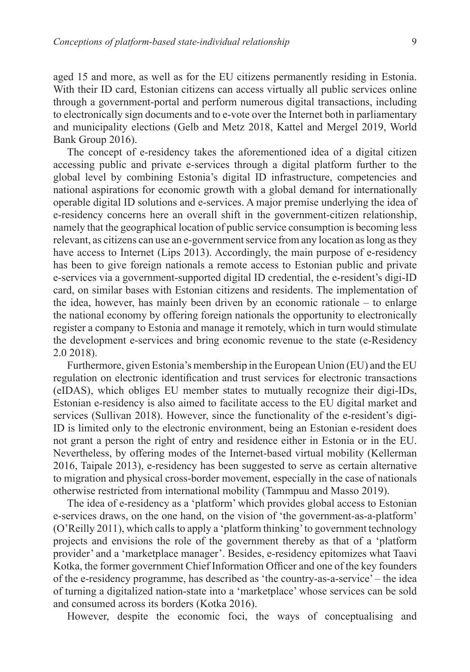aged 15 and more, as well as for the EU citizens permanently residing in Estonia. With their ID card, Estonian citizens can access virtually all public services online through a government-portal and perform numerous digital transactions, including to electronically sign documents and to e-vote over the Internet both in parliamentary and municipality elections (Gelb and Metz 2018, Kattel and Mergel 2019, World Bank Group 2016).

The concept of e-residency takes the aforementioned idea of a digital citizen accessing public and private e-services through a digital platform further to the global level by combining Estonia's digital ID infrastructure, competencies and national aspirations for economic growth with a global demand for internationally operable digital ID solutions and e-services. A major premise underlying the idea of e-residency concerns here an overall shift in the government-citizen relationship, namely that the geographical location of public service consumption is becoming less relevant, as citizens can use an e-government service from any location as long as they have access to Internet (Lips 2013). Accordingly, the main purpose of e-residency has been to give foreign nationals a remote access to Estonian public and private e-services via a government-supported digital ID credential, the e-resident's digi-ID card, on similar bases with Estonian citizens and residents. The implementation of the idea, however, has mainly been driven by an economic rationale – to enlarge the national economy by offering foreign nationals the opportunity to electronically register a company to Estonia and manage it remotely, which in turn would stimulate the development e-services and bring economic revenue to the state (e-Residency 2.0 2018).

Furthermore, given Estonia's membership in the European Union (EU) and the EU regulation on electronic identification and trust services for electronic transactions (eIDAS), which obliges EU member states to mutually recognize their digi-IDs, Estonian e-residency is also aimed to facilitate access to the EU digital market and services (Sullivan 2018). However, since the functionality of the e-resident's digi-ID is limited only to the electronic environment, being an Estonian e-resident does not grant a person the right of entry and residence either in Estonia or in the EU. Nevertheless, by offering modes of the Internet-based virtual mobility (Kellerman 2016, Taipale 2013), e-residency has been suggested to serve as certain alternative to migration and physical cross-border movement, especially in the case of nationals otherwise restricted from international mobility (Tammpuu and Masso 2019).

The idea of e-residency as a 'platform' which provides global access to Estonian e-services draws, on the one hand, on the vision of 'the government-as-a-platform' (O'Reilly 2011), which calls to apply a 'platform thinking' to government technology projects and envisions the role of the government thereby as that of a 'platform provider' and a 'marketplace manager'. Besides, e-residency epitomizes what Taavi Kotka, the former government Chief Information Officer and one of the key founders of the e-residency programme, has described as 'the country-as-a-service' – the idea of turning a digitalized nation-state into a 'marketplace' whose services can be sold and consumed across its borders (Kotka 2016).

However, despite the economic foci, the ways of conceptualising and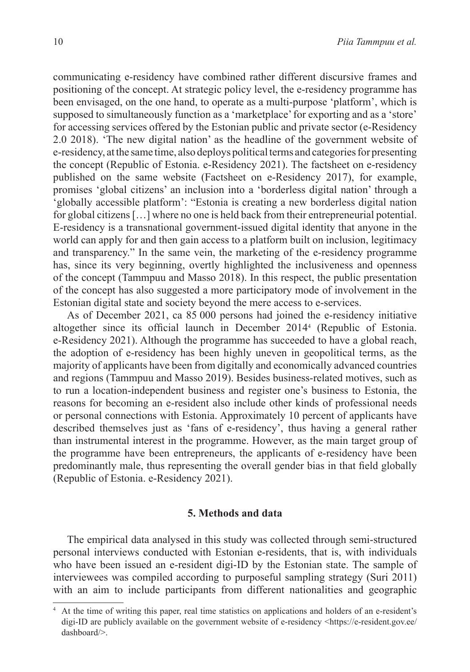communicating e-residency have combined rather different discursive frames and positioning of the concept. At strategic policy level, the e-residency programme has been envisaged, on the one hand, to operate as a multi-purpose 'platform', which is supposed to simultaneously function as a 'marketplace' for exporting and as a 'store' for accessing services offered by the Estonian public and private sector (e-Residency 2.0 2018). 'The new digital nation' as the headline of the government website of e-residency, at the same time, also deploys political terms and categories for presenting the concept (Republic of Estonia. e-Residency 2021). The factsheet on e-residency published on the same website (Factsheet on e-Residency 2017), for example, promises 'global citizens' an inclusion into a 'borderless digital nation' through a 'globally accessible platform': "Estonia is creating a new borderless digital nation for global citizens […] where no one is held back from their entrepreneurial potential. E-residency is a transnational government-issued digital identity that anyone in the world can apply for and then gain access to a platform built on inclusion, legitimacy and transparency." In the same vein, the marketing of the e-residency programme has, since its very beginning, overtly highlighted the inclusiveness and openness of the concept (Tammpuu and Masso 2018). In this respect, the public presentation of the concept has also suggested a more participatory mode of involvement in the Estonian digital state and society beyond the mere access to e-services.

As of December 2021, ca 85 000 persons had joined the e-residency initiative altogether since its official launch in December 2014<sup>4</sup> (Republic of Estonia. e-Residency 2021). Although the programme has succeeded to have a global reach, the adoption of e-residency has been highly uneven in geopolitical terms, as the majority of applicants have been from digitally and economically advanced countries and regions (Tammpuu and Masso 2019). Besides business-related motives, such as to run a location-independent business and register one's business to Estonia, the reasons for becoming an e-resident also include other kinds of professional needs or personal connections with Estonia. Approximately 10 percent of applicants have described themselves just as 'fans of e-residency', thus having a general rather than instrumental interest in the programme. However, as the main target group of the programme have been entrepreneurs, the applicants of e-residency have been predominantly male, thus representing the overall gender bias in that field globally (Republic of Estonia. e-Residency 2021).

# **5. Methods and data**

The empirical data analysed in this study was collected through semi-structured personal interviews conducted with Estonian e-residents, that is, with individuals who have been issued an e-resident digi-ID by the Estonian state. The sample of interviewees was compiled according to purposeful sampling strategy (Suri 2011) with an aim to include participants from different nationalities and geographic

<sup>4</sup> At the time of writing this paper, real time statistics on applications and holders of an e-resident's digi-ID are publicly available on the government website of e-residency <https://e-resident.gov.ee/ dashboard/>.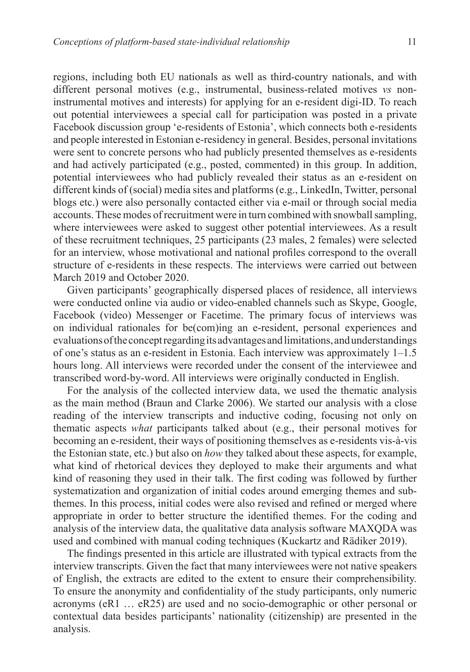regions, including both EU nationals as well as third-country nationals, and with different personal motives (e.g., instrumental, business-related motives *vs* noninstrumental motives and interests) for applying for an e-resident digi-ID. To reach out potential interviewees a special call for participation was posted in a private Facebook discussion group 'e-residents of Estonia', which connects both e-residents and people interested in Estonian e-residency in general. Besides, personal invitations were sent to concrete persons who had publicly presented themselves as e-residents and had actively participated (e.g., posted, commented) in this group. In addition, potential interviewees who had publicly revealed their status as an e-resident on different kinds of (social) media sites and platforms (e.g., LinkedIn, Twitter, personal blogs etc.) were also personally contacted either via e-mail or through social media accounts. These modes of recruitment were in turn combined with snowball sampling, where interviewees were asked to suggest other potential interviewees. As a result of these recruitment techniques, 25 participants (23 males, 2 females) were selected for an interview, whose motivational and national profiles correspond to the overall structure of e-residents in these respects. The interviews were carried out between March 2019 and October 2020.

Given participants' geographically dispersed places of residence, all interviews were conducted online via audio or video-enabled channels such as Skype, Google, Facebook (video) Messenger or Facetime. The primary focus of interviews was on individual rationales for be(com)ing an e-resident, personal experiences and evaluations of the concept regarding its advantages and limitations, and understandings of one's status as an e-resident in Estonia. Each interview was approximately 1–1.5 hours long. All interviews were recorded under the consent of the interviewee and transcribed word-by-word. All interviews were originally conducted in English.

For the analysis of the collected interview data, we used the thematic analysis as the main method (Braun and Clarke 2006). We started our analysis with a close reading of the interview transcripts and inductive coding, focusing not only on thematic aspects *what* participants talked about (e.g., their personal motives for becoming an e-resident, their ways of positioning themselves as e-residents vis-à-vis the Estonian state, etc.) but also on *how* they talked about these aspects, for example, what kind of rhetorical devices they deployed to make their arguments and what kind of reasoning they used in their talk. The first coding was followed by further systematization and organization of initial codes around emerging themes and subthemes. In this process, initial codes were also revised and refined or merged where appropriate in order to better structure the identified themes. For the coding and analysis of the interview data, the qualitative data analysis software MAXQDA was used and combined with manual coding techniques (Kuckartz and Rädiker 2019).

The findings presented in this article are illustrated with typical extracts from the interview transcripts. Given the fact that many interviewees were not native speakers of English, the extracts are edited to the extent to ensure their comprehensibility. To ensure the anonymity and confidentiality of the study participants, only numeric acronyms (eR1 … eR25) are used and no socio-demographic or other personal or contextual data besides participants' nationality (citizenship) are presented in the analysis.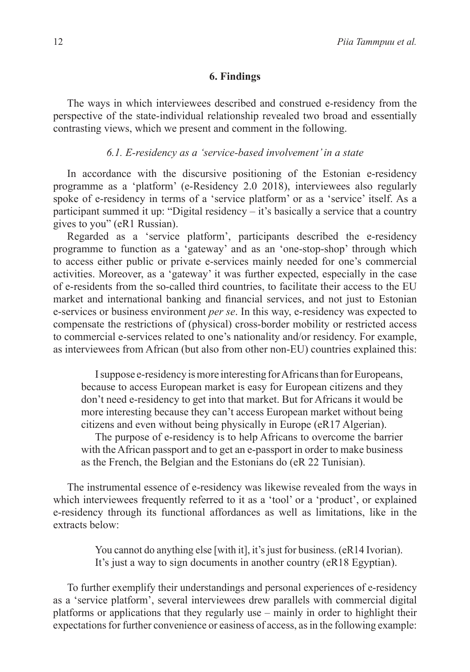## **6. Findings**

The ways in which interviewees described and construed e-residency from the perspective of the state-individual relationship revealed two broad and essentially contrasting views, which we present and comment in the following.

### *6.1. E-residency as a 'service-based involvement' in a state*

In accordance with the discursive positioning of the Estonian e-residency programme as a 'platform' (e-Residency 2.0 2018), interviewees also regularly spoke of e-residency in terms of a 'service platform' or as a 'service' itself. As a participant summed it up: "Digital residency – it's basically a service that a country gives to you" (eR1 Russian).

Regarded as a 'service platform', participants described the e-residency programme to function as a 'gateway' and as an 'one-stop-shop' through which to access either public or private e-services mainly needed for one's commercial activities. Moreover, as a 'gateway' it was further expected, especially in the case of e-residents from the so-called third countries, to facilitate their access to the EU market and international banking and financial services, and not just to Estonian e-services or business environment *per se*. In this way, e-residency was expected to compensate the restrictions of (physical) cross-border mobility or restricted access to commercial e-services related to one's nationality and/or residency. For example, as interviewees from African (but also from other non-EU) countries explained this:

I suppose e-residency is more interesting for Africans than for Europeans, because to access European market is easy for European citizens and they don't need e-residency to get into that market. But for Africans it would be more interesting because they can't access European market without being citizens and even without being physically in Europe (eR17 Algerian).

The purpose of e-residency is to help Africans to overcome the barrier with the African passport and to get an e-passport in order to make business as the French, the Belgian and the Estonians do (eR 22 Tunisian).

The instrumental essence of e-residency was likewise revealed from the ways in which interviewees frequently referred to it as a 'tool' or a 'product', or explained e-residency through its functional affordances as well as limitations, like in the extracts below:

> You cannot do anything else [with it], it's just for business. (eR14 Ivorian). It's just a way to sign documents in another country (eR18 Egyptian).

To further exemplify their understandings and personal experiences of e-residency as a 'service platform', several interviewees drew parallels with commercial digital platforms or applications that they regularly use – mainly in order to highlight their expectations for further convenience or easiness of access, as in the following example: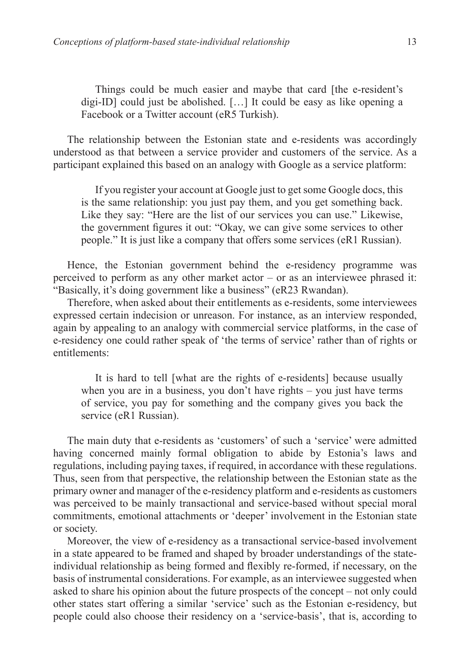Things could be much easier and maybe that card [the e-resident's digi-ID] could just be abolished. […] It could be easy as like opening a Facebook or a Twitter account (eR5 Turkish).

The relationship between the Estonian state and e-residents was accordingly understood as that between a service provider and customers of the service. As a participant explained this based on an analogy with Google as a service platform:

If you register your account at Google just to get some Google docs, this is the same relationship: you just pay them, and you get something back. Like they say: "Here are the list of our services you can use." Likewise, the government figures it out: "Okay, we can give some services to other people." It is just like a company that offers some services (eR1 Russian).

Hence, the Estonian government behind the e-residency programme was perceived to perform as any other market actor – or as an interviewee phrased it: "Basically, it's doing government like a business" (eR23 Rwandan).

Therefore, when asked about their entitlements as e-residents, some interviewees expressed certain indecision or unreason. For instance, as an interview responded, again by appealing to an analogy with commercial service platforms, in the case of e-residency one could rather speak of 'the terms of service' rather than of rights or entitlements:

It is hard to tell [what are the rights of e-residents] because usually when you are in a business, you don't have rights – you just have terms of service, you pay for something and the company gives you back the service (eR1 Russian).

The main duty that e-residents as 'customers' of such a 'service' were admitted having concerned mainly formal obligation to abide by Estonia's laws and regulations, including paying taxes, if required, in accordance with these regulations. Thus, seen from that perspective, the relationship between the Estonian state as the primary owner and manager of the e-residency platform and e-residents as customers was perceived to be mainly transactional and service-based without special moral commitments, emotional attachments or 'deeper' involvement in the Estonian state or society.

Moreover, the view of e-residency as a transactional service-based involvement in a state appeared to be framed and shaped by broader understandings of the stateindividual relationship as being formed and flexibly re-formed, if necessary, on the basis of instrumental considerations. For example, as an interviewee suggested when asked to share his opinion about the future prospects of the concept – not only could other states start offering a similar 'service' such as the Estonian e-residency, but people could also choose their residency on a 'service-basis', that is, according to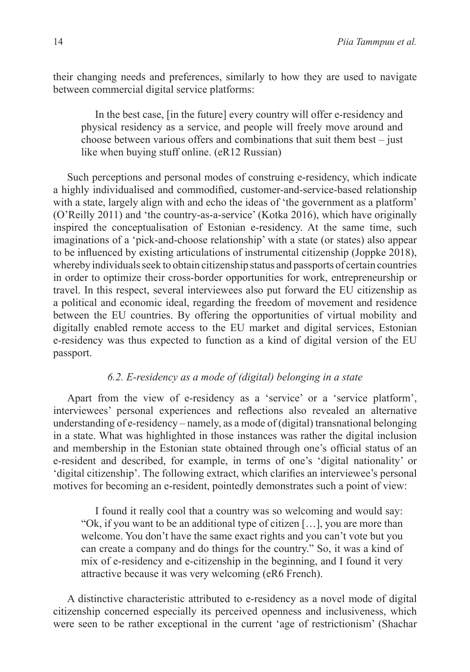their changing needs and preferences, similarly to how they are used to navigate between commercial digital service platforms:

In the best case, [in the future] every country will offer e-residency and physical residency as a service, and people will freely move around and choose between various offers and combinations that suit them best – just like when buying stuff online. (eR12 Russian)

Such perceptions and personal modes of construing e-residency, which indicate a highly individualised and commodified, customer-and-service-based relationship with a state, largely align with and echo the ideas of 'the government as a platform' (O'Reilly 2011) and 'the country-as-a-service' (Kotka 2016), which have originally inspired the conceptualisation of Estonian e-residency. At the same time, such imaginations of a 'pick-and-choose relationship' with a state (or states) also appear to be influenced by existing articulations of instrumental citizenship (Joppke 2018), whereby individuals seek to obtain citizenship status and passports of certain countries in order to optimize their cross-border opportunities for work, entrepreneurship or travel. In this respect, several interviewees also put forward the EU citizenship as a political and economic ideal, regarding the freedom of movement and residence between the EU countries. By offering the opportunities of virtual mobility and digitally enabled remote access to the EU market and digital services, Estonian e-residency was thus expected to function as a kind of digital version of the EU passport.

# *6.2. E-residency as a mode of (digital) belonging in a state*

Apart from the view of e-residency as a 'service' or a 'service platform', interviewees' personal experiences and reflections also revealed an alternative understanding of e-residency – namely, as a mode of (digital) transnational belonging in a state. What was highlighted in those instances was rather the digital inclusion and membership in the Estonian state obtained through one's official status of an e-resident and described, for example, in terms of one's 'digital nationality' or 'digital citizenship'. The following extract, which clarifies an interviewee's personal motives for becoming an e-resident, pointedly demonstrates such a point of view:

I found it really cool that a country was so welcoming and would say: "Ok, if you want to be an additional type of citizen […], you are more than welcome. You don't have the same exact rights and you can't vote but you can create a company and do things for the country." So, it was a kind of mix of e-residency and e-citizenship in the beginning, and I found it very attractive because it was very welcoming (eR6 French).

A distinctive characteristic attributed to e-residency as a novel mode of digital citizenship concerned especially its perceived openness and inclusiveness, which were seen to be rather exceptional in the current 'age of restrictionism' (Shachar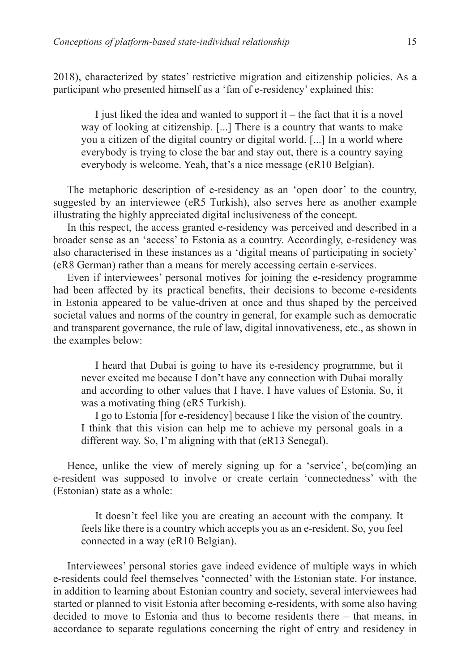2018), characterized by states' restrictive migration and citizenship policies. As a participant who presented himself as a 'fan of e-residency' explained this:

I just liked the idea and wanted to support it – the fact that it is a novel way of looking at citizenship. [...] There is a country that wants to make you a citizen of the digital country or digital world. [...] In a world where everybody is trying to close the bar and stay out, there is a country saying everybody is welcome. Yeah, that's a nice message (eR10 Belgian).

The metaphoric description of e-residency as an 'open door' to the country, suggested by an interviewee (eR5 Turkish), also serves here as another example illustrating the highly appreciated digital inclusiveness of the concept.

In this respect, the access granted e-residency was perceived and described in a broader sense as an 'access' to Estonia as a country. Accordingly, e-residency was also characterised in these instances as a 'digital means of participating in society' (eR8 German) rather than a means for merely accessing certain e-services.

Even if interviewees' personal motives for joining the e-residency programme had been affected by its practical benefits, their decisions to become e-residents in Estonia appeared to be value-driven at once and thus shaped by the perceived societal values and norms of the country in general, for example such as democratic and transparent governance, the rule of law, digital innovativeness, etc., as shown in the examples below:

I heard that Dubai is going to have its e-residency programme, but it never excited me because I don't have any connection with Dubai morally and according to other values that I have. I have values of Estonia. So, it was a motivating thing (eR5 Turkish).

I go to Estonia [for e-residency] because I like the vision of the country. I think that this vision can help me to achieve my personal goals in a different way. So, I'm aligning with that (eR13 Senegal).

Hence, unlike the view of merely signing up for a 'service', be(com)ing an e-resident was supposed to involve or create certain 'connectedness' with the (Estonian) state as a whole:

It doesn't feel like you are creating an account with the company. It feels like there is a country which accepts you as an e-resident. So, you feel connected in a way (eR10 Belgian).

Interviewees' personal stories gave indeed evidence of multiple ways in which e-residents could feel themselves 'connected' with the Estonian state. For instance, in addition to learning about Estonian country and society, several interviewees had started or planned to visit Estonia after becoming e-residents, with some also having decided to move to Estonia and thus to become residents there – that means, in accordance to separate regulations concerning the right of entry and residency in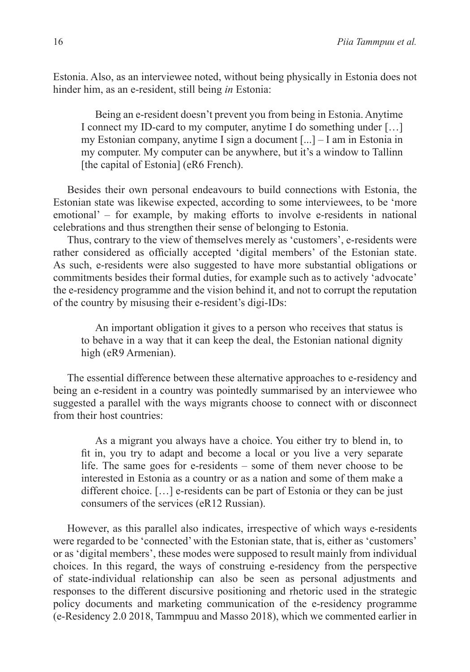Estonia. Also, as an interviewee noted, without being physically in Estonia does not hinder him, as an e-resident, still being *in* Estonia:

Being an e-resident doesn't prevent you from being in Estonia. Anytime I connect my ID-card to my computer, anytime I do something under […] my Estonian company, anytime I sign a document [...] – I am in Estonia in my computer. My computer can be anywhere, but it's a window to Tallinn [the capital of Estonia] (eR6 French).

Besides their own personal endeavours to build connections with Estonia, the Estonian state was likewise expected, according to some interviewees, to be 'more emotional' – for example, by making efforts to involve e-residents in national celebrations and thus strengthen their sense of belonging to Estonia.

Thus, contrary to the view of themselves merely as 'customers', e-residents were rather considered as officially accepted 'digital members' of the Estonian state. As such, e-residents were also suggested to have more substantial obligations or commitments besides their formal duties, for example such as to actively 'advocate' the e-residency programme and the vision behind it, and not to corrupt the reputation of the country by misusing their e-resident's digi-IDs:

An important obligation it gives to a person who receives that status is to behave in a way that it can keep the deal, the Estonian national dignity high (eR9 Armenian).

The essential difference between these alternative approaches to e-residency and being an e-resident in a country was pointedly summarised by an interviewee who suggested a parallel with the ways migrants choose to connect with or disconnect from their host countries:

As a migrant you always have a choice. You either try to blend in, to fit in, you try to adapt and become a local or you live a very separate life. The same goes for e-residents – some of them never choose to be interested in Estonia as a country or as a nation and some of them make a different choice. […] e-residents can be part of Estonia or they can be just consumers of the services (eR12 Russian).

However, as this parallel also indicates, irrespective of which ways e-residents were regarded to be 'connected' with the Estonian state, that is, either as 'customers' or as 'digital members', these modes were supposed to result mainly from individual choices. In this regard, the ways of construing e-residency from the perspective of state-individual relationship can also be seen as personal adjustments and responses to the different discursive positioning and rhetoric used in the strategic policy documents and marketing communication of the e-residency programme (e-Residency 2.0 2018, Tammpuu and Masso 2018), which we commented earlier in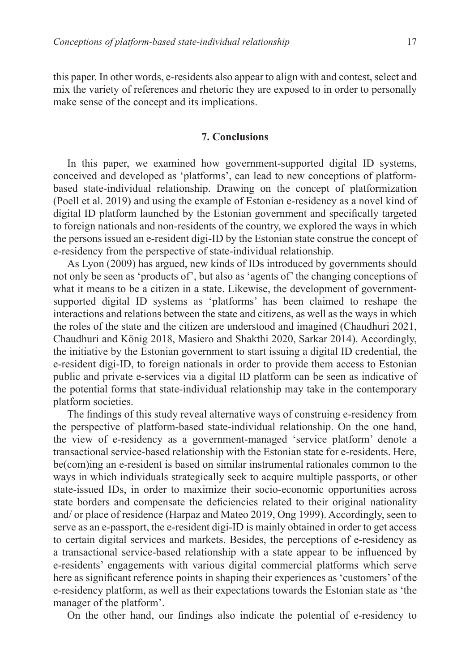this paper. In other words, e-residents also appear to align with and contest, select and mix the variety of references and rhetoric they are exposed to in order to personally make sense of the concept and its implications.

### **7. Conclusions**

In this paper, we examined how government-supported digital ID systems, conceived and developed as 'platforms', can lead to new conceptions of platformbased state-individual relationship. Drawing on the concept of platformization (Poell et al. 2019) and using the example of Estonian e-residency as a novel kind of digital ID platform launched by the Estonian government and specifically targeted to foreign nationals and non-residents of the country, we explored the ways in which the persons issued an e-resident digi-ID by the Estonian state construe the concept of e-residency from the perspective of state-individual relationship.

As Lyon (2009) has argued, new kinds of IDs introduced by governments should not only be seen as 'products of', but also as 'agents of' the changing conceptions of what it means to be a citizen in a state. Likewise, the development of governmentsupported digital ID systems as 'platforms' has been claimed to reshape the interactions and relations between the state and citizens, as well as the ways in which the roles of the state and the citizen are understood and imagined (Chaudhuri 2021, Chaudhuri and König 2018, Masiero and Shakthi 2020, Sarkar 2014). Accordingly, the initiative by the Estonian government to start issuing a digital ID credential, the e-resident digi-ID, to foreign nationals in order to provide them access to Estonian public and private e-services via a digital ID platform can be seen as indicative of the potential forms that state-individual relationship may take in the contemporary platform societies.

The findings of this study reveal alternative ways of construing e-residency from the perspective of platform-based state-individual relationship. On the one hand, the view of e-residency as a government-managed 'service platform' denote a transactional service-based relationship with the Estonian state for e-residents. Here, be(com)ing an e-resident is based on similar instrumental rationales common to the ways in which individuals strategically seek to acquire multiple passports, or other state-issued IDs, in order to maximize their socio-economic opportunities across state borders and compensate the deficiencies related to their original nationality and/ or place of residence (Harpaz and Mateo 2019, Ong 1999). Accordingly, seen to serve as an e-passport, the e-resident digi-ID is mainly obtained in order to get access to certain digital services and markets. Besides, the perceptions of e-residency as a transactional service-based relationship with a state appear to be influenced by e-residents' engagements with various digital commercial platforms which serve here as significant reference points in shaping their experiences as 'customers' of the e-residency platform, as well as their expectations towards the Estonian state as 'the manager of the platform'.

On the other hand, our findings also indicate the potential of e-residency to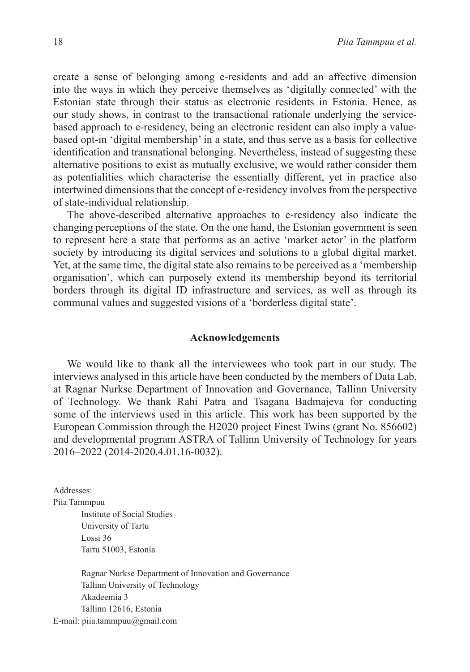create a sense of belonging among e-residents and add an affective dimension into the ways in which they perceive themselves as 'digitally connected' with the Estonian state through their status as electronic residents in Estonia. Hence, as our study shows, in contrast to the transactional rationale underlying the servicebased approach to e-residency, being an electronic resident can also imply a valuebased opt-in 'digital membership' in a state, and thus serve as a basis for collective identification and transnational belonging. Nevertheless, instead of suggesting these alternative positions to exist as mutually exclusive, we would rather consider them as potentialities which characterise the essentially different, yet in practice also intertwined dimensions that the concept of e-residency involves from the perspective of state-individual relationship.

The above-described alternative approaches to e-residency also indicate the changing perceptions of the state. On the one hand, the Estonian government is seen to represent here a state that performs as an active 'market actor' in the platform society by introducing its digital services and solutions to a global digital market. Yet, at the same time, the digital state also remains to be perceived as a 'membership organisation', which can purposely extend its membership beyond its territorial borders through its digital ID infrastructure and services, as well as through its communal values and suggested visions of a 'borderless digital state'.

### **Acknowledgements**

We would like to thank all the interviewees who took part in our study. The interviews analysed in this article have been conducted by the members of Data Lab, at Ragnar Nurkse Department of Innovation and Governance, Tallinn University of Technology. We thank Rahi Patra and Tsagana Badmajeva for conducting some of the interviews used in this article. This work has been supported by the European Commission through the H2020 project Finest Twins (grant No. 856602) and developmental program ASTRA of Tallinn University of Technology for years 2016–2022 (2014-2020.4.01.16-0032).

Addresses:

Piia Tammpuu

Institute of Social Studies University of Tartu Lossi 36 Tartu 51003, Estonia

Ragnar Nurkse Department of Innovation and Governance Tallinn University of Technology Akadeemia 3 Tallinn 12616, Estonia E-mail: piia.tammpuu@gmail.com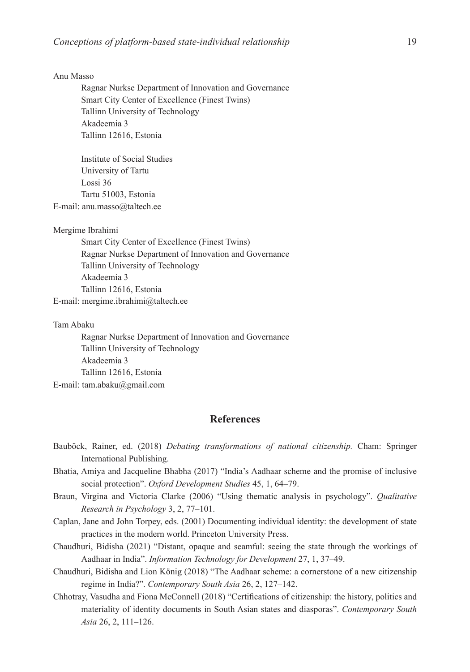#### Anu Masso

Ragnar Nurkse Department of Innovation and Governance Smart City Center of Excellence (Finest Twins) Tallinn University of Technology Akadeemia 3 Tallinn 12616, Estonia

Institute of Social Studies University of Tartu Lossi 36 Tartu 51003, Estonia E-mail: anu.masso@taltech.ee

#### Mergime Ibrahimi

Smart City Center of Excellence (Finest Twins) Ragnar Nurkse Department of Innovation and Governance Tallinn University of Technology Akadeemia 3 Tallinn 12616, Estonia E-mail: mergime.ibrahimi@taltech.ee

#### Tam Abaku

Ragnar Nurkse Department of Innovation and Governance Tallinn University of Technology Akadeemia 3 Tallinn 12616, Estonia E-mail: tam.abaku@gmail.com

### **References**

- Bauböck, Rainer, ed. (2018) *Debating transformations of national citizenship.* Cham: Springer International Publishing.
- Bhatia, Amiya and Jacqueline Bhabha (2017) "India's Aadhaar scheme and the promise of inclusive social protection". *Oxford Development Studies* 45, 1, 64–79.
- Braun, Virgina and Victoria Clarke (2006) "Using thematic analysis in psychology". *Qualitative Research in Psychology* 3, 2, 77–101.
- Caplan, Jane and John Torpey, eds. (2001) Documenting individual identity: the development of state practices in the modern world. Princeton University Press.
- Chaudhuri, Bidisha (2021) "Distant, opaque and seamful: seeing the state through the workings of Aadhaar in India". *Information Technology for Development* 27, 1, 37–49.
- Chaudhuri, Bidisha and Lion König (2018) "The Aadhaar scheme: a cornerstone of a new citizenship regime in India?". *Contemporary South Asia* 26, 2, 127–142.
- Chhotray, Vasudha and Fiona McConnell (2018) "Certifications of citizenship: the history, politics and materiality of identity documents in South Asian states and diasporas". *Contemporary South Asia* 26, 2, 111–126.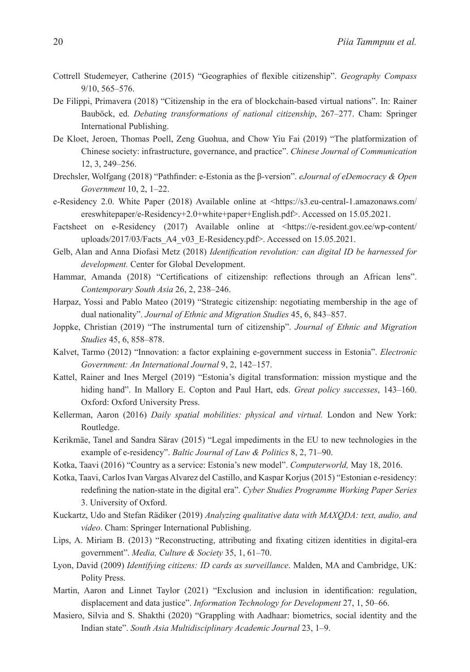- Cottrell Studemeyer, Catherine (2015) "Geographies of flexible citizenship". *Geography Compass*  9/10, 565–576.
- De Filippi, Primavera (2018) "Citizenship in the era of blockchain-based virtual nations". In: Rainer Bauböck, ed. *Debating transformations of national citizenship*, 267–277. Cham: Springer International Publishing.
- De Kloet, Jeroen, Thomas Poell, Zeng Guohua, and Chow Yiu Fai (2019) "The platformization of Chinese society: infrastructure, governance, and practice". *Chinese Journal of Communication* 12, 3, 249–256.
- Drechsler, Wolfgang (2018) "Pathfinder: e-Estonia as the β-version". *eJournal of eDemocracy & Open Government* 10, 2, 1–22.
- e-Residency 2.0. White Paper (2018) Available online at <https://s3.eu-central-1.amazonaws.com/ ereswhitepaper/e-Residency+2.0+white+paper+English.pdf>. Accessed on 15.05.2021.
- Factsheet on e-Residency (2017) Available online at <https://e-resident.gov.ee/wp-content/ uploads/2017/03/Facts\_A4\_v03\_E-Residency.pdf>. Accessed on 15.05.2021.
- Gelb, Alan and Anna Diofasi Metz (2018) *Identification revolution: can digital ID be harnessed for development.* Center for Global Development.
- Hammar, Amanda (2018) "Certifications of citizenship: reflections through an African lens". *Contemporary South Asia* 26, 2, 238–246.
- Harpaz, Yossi and Pablo Mateo (2019) "Strategic citizenship: negotiating membership in the age of dual nationality". *Journal of Ethnic and Migration Studies* 45, 6, 843–857.
- Joppke, Christian (2019) "The instrumental turn of citizenship". *Journal of Ethnic and Migration Studies* 45, 6, 858–878.
- Kalvet, Tarmo (2012) "Innovation: a factor explaining e-government success in Estonia". *Electronic Government: An International Journal* 9, 2, 142–157.
- Kattel, Rainer and Ines Mergel (2019) "Estonia's digital transformation: mission mystique and the hiding hand". In Mallory E. Copton and Paul Hart, eds. *Great policy successes*, 143–160. Oxford: Oxford University Press.
- Kellerman, Aaron (2016) *Daily spatial mobilities: physical and virtual.* London and New York: Routledge.
- Kerikmäe, Tanel and Sandra Särav (2015) "Legal impediments in the EU to new technologies in the example of e-residency". *Baltic Journal of Law & Politics* 8, 2, 71–90.
- Kotka, Taavi (2016) "Country as a service: Estonia's new model". *Computerworld,* May 18, 2016.
- Kotka, Taavi, Carlos Ivan Vargas Alvarez del Castillo, and Kaspar Korjus (2015) "Estonian e-residency: redefining the nation-state in the digital era". *Cyber Studies Programme Working Paper Series* 3. University of Oxford.
- Kuckartz, Udo and Stefan Rädiker (2019) *Analyzing qualitative data with MAXQDA: text, audio, and video*. Cham: Springer International Publishing.
- Lips, A. Miriam B. (2013) "Reconstructing, attributing and fixating citizen identities in digital-era government". *Media, Culture & Society* 35, 1, 61–70.
- Lyon, David (2009) *Identifying citizens: ID cards as surveillance*. Malden, MA and Cambridge, UK: Polity Press.
- Martin, Aaron and Linnet Taylor (2021) "Exclusion and inclusion in identification: regulation, displacement and data justice". *Information Technology for Development* 27, 1, 50–66.
- Masiero, Silvia and S. Shakthi (2020) "Grappling with Aadhaar: biometrics, social identity and the Indian state". *South Asia Multidisciplinary Academic Journal* 23, 1–9.